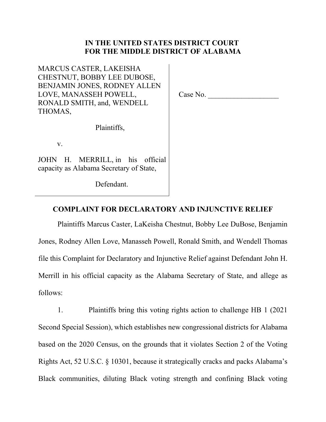# **IN THE UNITED STATES DISTRICT COURT FOR THE MIDDLE DISTRICT OF ALABAMA**

MARCUS CASTER, LAKEISHA CHESTNUT, BOBBY LEE DUBOSE, BENJAMIN JONES, RODNEY ALLEN LOVE, MANASSEH POWELL, RONALD SMITH, and, WENDELL THOMAS,

Case No. \_\_\_\_\_\_\_\_\_\_\_\_\_\_\_\_\_\_\_

Plaintiffs,

v.

JOHN H. MERRILL, in his official capacity as Alabama Secretary of State,

Defendant.

# **COMPLAINT FOR DECLARATORY AND INJUNCTIVE RELIEF**

Plaintiffs Marcus Caster, LaKeisha Chestnut, Bobby Lee DuBose, Benjamin Jones, Rodney Allen Love, Manasseh Powell, Ronald Smith, and Wendell Thomas file this Complaint for Declaratory and Injunctive Relief against Defendant John H. Merrill in his official capacity as the Alabama Secretary of State, and allege as follows:

1. Plaintiffs bring this voting rights action to challenge HB 1 (2021 Second Special Session), which establishes new congressional districts for Alabama based on the 2020 Census, on the grounds that it violates Section 2 of the Voting Rights Act, 52 U.S.C. § 10301, because it strategically cracks and packs Alabama's Black communities, diluting Black voting strength and confining Black voting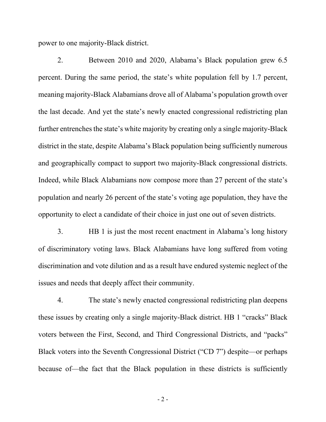power to one majority-Black district.

2. Between 2010 and 2020, Alabama's Black population grew 6.5 percent. During the same period, the state's white population fell by 1.7 percent, meaning majority-Black Alabamians drove all of Alabama's population growth over the last decade. And yet the state's newly enacted congressional redistricting plan further entrenches the state's white majority by creating only a single majority-Black district in the state, despite Alabama's Black population being sufficiently numerous and geographically compact to support two majority-Black congressional districts. Indeed, while Black Alabamians now compose more than 27 percent of the state's population and nearly 26 percent of the state's voting age population, they have the opportunity to elect a candidate of their choice in just one out of seven districts.

3. HB 1 is just the most recent enactment in Alabama's long history of discriminatory voting laws. Black Alabamians have long suffered from voting discrimination and vote dilution and as a result have endured systemic neglect of the issues and needs that deeply affect their community.

4. The state's newly enacted congressional redistricting plan deepens these issues by creating only a single majority-Black district. HB 1 "cracks" Black voters between the First, Second, and Third Congressional Districts, and "packs" Black voters into the Seventh Congressional District ("CD 7") despite—or perhaps because of—the fact that the Black population in these districts is sufficiently

- 2 -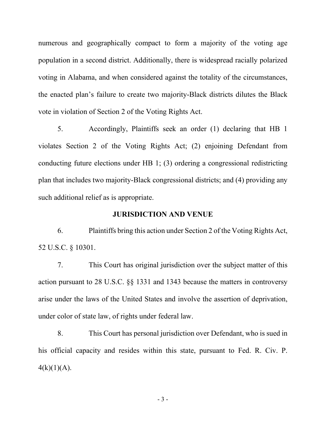numerous and geographically compact to form a majority of the voting age population in a second district. Additionally, there is widespread racially polarized voting in Alabama, and when considered against the totality of the circumstances, the enacted plan's failure to create two majority-Black districts dilutes the Black vote in violation of Section 2 of the Voting Rights Act.

5. Accordingly, Plaintiffs seek an order (1) declaring that HB 1 violates Section 2 of the Voting Rights Act; (2) enjoining Defendant from conducting future elections under HB 1; (3) ordering a congressional redistricting plan that includes two majority-Black congressional districts; and (4) providing any such additional relief as is appropriate.

### **JURISDICTION AND VENUE**

6. Plaintiffs bring this action under Section 2 of the Voting Rights Act, 52 U.S.C. § 10301.

7. This Court has original jurisdiction over the subject matter of this action pursuant to 28 U.S.C. §§ 1331 and 1343 because the matters in controversy arise under the laws of the United States and involve the assertion of deprivation, under color of state law, of rights under federal law.

8. This Court has personal jurisdiction over Defendant, who is sued in his official capacity and resides within this state, pursuant to Fed. R. Civ. P.  $4(k)(1)(A)$ .

- 3 -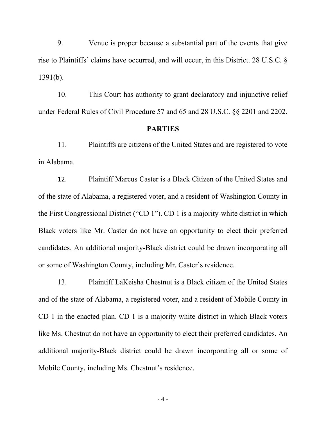9. Venue is proper because a substantial part of the events that give rise to Plaintiffs' claims have occurred, and will occur, in this District. 28 U.S.C. § 1391(b).

10. This Court has authority to grant declaratory and injunctive relief under Federal Rules of Civil Procedure 57 and 65 and 28 U.S.C. §§ 2201 and 2202.

#### **PARTIES**

11. Plaintiffs are citizens of the United States and are registered to vote in Alabama.

12. Plaintiff Marcus Caster is a Black Citizen of the United States and of the state of Alabama, a registered voter, and a resident of Washington County in the First Congressional District ("CD 1"). CD 1 is a majority-white district in which Black voters like Mr. Caster do not have an opportunity to elect their preferred candidates. An additional majority-Black district could be drawn incorporating all or some of Washington County, including Mr. Caster's residence.

13. Plaintiff LaKeisha Chestnut is a Black citizen of the United States and of the state of Alabama, a registered voter, and a resident of Mobile County in CD 1 in the enacted plan. CD 1 is a majority-white district in which Black voters like Ms. Chestnut do not have an opportunity to elect their preferred candidates. An additional majority-Black district could be drawn incorporating all or some of Mobile County, including Ms. Chestnut's residence.

- 4 -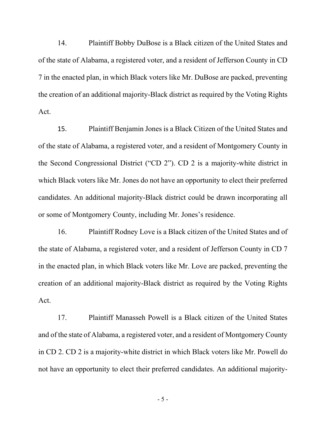14. Plaintiff Bobby DuBose is a Black citizen of the United States and of the state of Alabama, a registered voter, and a resident of Jefferson County in CD 7 in the enacted plan, in which Black voters like Mr. DuBose are packed, preventing the creation of an additional majority-Black district as required by the Voting Rights Act.

15. Plaintiff Benjamin Jones is a Black Citizen of the United States and of the state of Alabama, a registered voter, and a resident of Montgomery County in the Second Congressional District ("CD 2"). CD 2 is a majority-white district in which Black voters like Mr. Jones do not have an opportunity to elect their preferred candidates. An additional majority-Black district could be drawn incorporating all or some of Montgomery County, including Mr. Jones's residence.

16. Plaintiff Rodney Love is a Black citizen of the United States and of the state of Alabama, a registered voter, and a resident of Jefferson County in CD 7 in the enacted plan, in which Black voters like Mr. Love are packed, preventing the creation of an additional majority-Black district as required by the Voting Rights Act.

17. Plaintiff Manasseh Powell is a Black citizen of the United States and of the state of Alabama, a registered voter, and a resident of Montgomery County in CD 2. CD 2 is a majority-white district in which Black voters like Mr. Powell do not have an opportunity to elect their preferred candidates. An additional majority-

- 5 -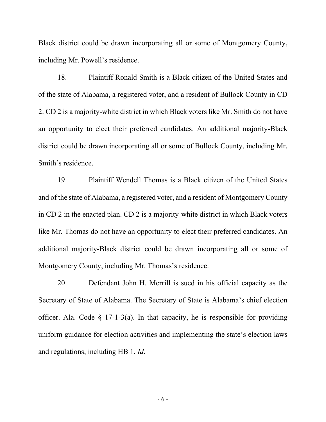Black district could be drawn incorporating all or some of Montgomery County, including Mr. Powell's residence.

18. Plaintiff Ronald Smith is a Black citizen of the United States and of the state of Alabama, a registered voter, and a resident of Bullock County in CD 2. CD 2 is a majority-white district in which Black voters like Mr. Smith do not have an opportunity to elect their preferred candidates. An additional majority-Black district could be drawn incorporating all or some of Bullock County, including Mr. Smith's residence.

19. Plaintiff Wendell Thomas is a Black citizen of the United States and of the state of Alabama, a registered voter, and a resident of Montgomery County in CD 2 in the enacted plan. CD 2 is a majority-white district in which Black voters like Mr. Thomas do not have an opportunity to elect their preferred candidates. An additional majority-Black district could be drawn incorporating all or some of Montgomery County, including Mr. Thomas's residence.

20. Defendant John H. Merrill is sued in his official capacity as the Secretary of State of Alabama. The Secretary of State is Alabama's chief election officer. Ala. Code  $\S$  17-1-3(a). In that capacity, he is responsible for providing uniform guidance for election activities and implementing the state's election laws and regulations, including HB 1. *Id.*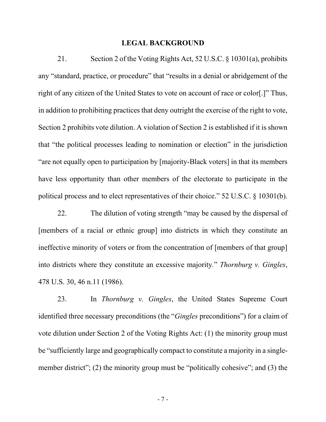#### **LEGAL BACKGROUND**

21. Section 2 of the Voting Rights Act, 52 U.S.C. § 10301(a), prohibits any "standard, practice, or procedure" that "results in a denial or abridgement of the right of any citizen of the United States to vote on account of race or color[.]" Thus, in addition to prohibiting practices that deny outright the exercise of the right to vote, Section 2 prohibits vote dilution. A violation of Section 2 is established if it is shown that "the political processes leading to nomination or election" in the jurisdiction "are not equally open to participation by [majority-Black voters] in that its members have less opportunity than other members of the electorate to participate in the political process and to elect representatives of their choice." 52 U.S.C. § 10301(b).

22. The dilution of voting strength "may be caused by the dispersal of [members of a racial or ethnic group] into districts in which they constitute an ineffective minority of voters or from the concentration of [members of that group] into districts where they constitute an excessive majority*.*" *Thornburg v. Gingles*, 478 U.S. 30, 46 n.11 (1986).

23. In *Thornburg v. Gingles*, the United States Supreme Court identified three necessary preconditions (the "*Gingles* preconditions") for a claim of vote dilution under Section 2 of the Voting Rights Act: (1) the minority group must be "sufficiently large and geographically compact to constitute a majority in a singlemember district"; (2) the minority group must be "politically cohesive"; and (3) the

- 7 -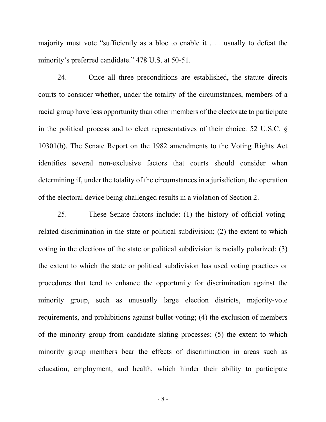majority must vote "sufficiently as a bloc to enable it . . . usually to defeat the minority's preferred candidate." 478 U.S. at 50-51.

24. Once all three preconditions are established, the statute directs courts to consider whether, under the totality of the circumstances, members of a racial group have less opportunity than other members of the electorate to participate in the political process and to elect representatives of their choice. 52 U.S.C. § 10301(b). The Senate Report on the 1982 amendments to the Voting Rights Act identifies several non-exclusive factors that courts should consider when determining if, under the totality of the circumstances in a jurisdiction, the operation of the electoral device being challenged results in a violation of Section 2.

25. These Senate factors include: (1) the history of official votingrelated discrimination in the state or political subdivision; (2) the extent to which voting in the elections of the state or political subdivision is racially polarized; (3) the extent to which the state or political subdivision has used voting practices or procedures that tend to enhance the opportunity for discrimination against the minority group, such as unusually large election districts, majority-vote requirements, and prohibitions against bullet-voting; (4) the exclusion of members of the minority group from candidate slating processes; (5) the extent to which minority group members bear the effects of discrimination in areas such as education, employment, and health, which hinder their ability to participate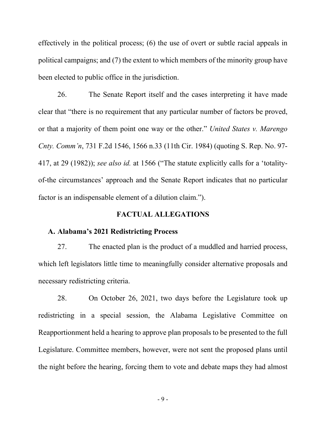effectively in the political process; (6) the use of overt or subtle racial appeals in political campaigns; and (7) the extent to which members of the minority group have been elected to public office in the jurisdiction.

26. The Senate Report itself and the cases interpreting it have made clear that "there is no requirement that any particular number of factors be proved, or that a majority of them point one way or the other." *United States v. Marengo Cnty. Comm'n*, 731 F.2d 1546, 1566 n.33 (11th Cir. 1984) (quoting S. Rep. No. 97- 417, at 29 (1982)); *see also id.* at 1566 ("The statute explicitly calls for a 'totalityof-the circumstances' approach and the Senate Report indicates that no particular factor is an indispensable element of a dilution claim.").

### **FACTUAL ALLEGATIONS**

# **A. Alabama's 2021 Redistricting Process**

27. The enacted plan is the product of a muddled and harried process, which left legislators little time to meaningfully consider alternative proposals and necessary redistricting criteria.

28. On October 26, 2021, two days before the Legislature took up redistricting in a special session, the Alabama Legislative Committee on Reapportionment held a hearing to approve plan proposals to be presented to the full Legislature. Committee members, however, were not sent the proposed plans until the night before the hearing, forcing them to vote and debate maps they had almost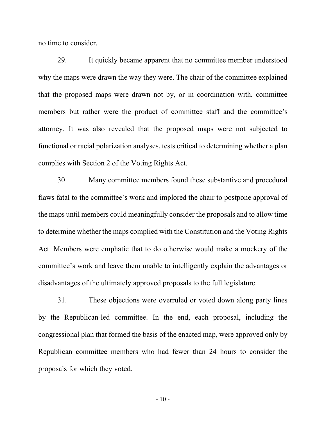no time to consider.

29. It quickly became apparent that no committee member understood why the maps were drawn the way they were. The chair of the committee explained that the proposed maps were drawn not by, or in coordination with, committee members but rather were the product of committee staff and the committee's attorney. It was also revealed that the proposed maps were not subjected to functional or racial polarization analyses, tests critical to determining whether a plan complies with Section 2 of the Voting Rights Act.

30. Many committee members found these substantive and procedural flaws fatal to the committee's work and implored the chair to postpone approval of the maps until members could meaningfully consider the proposals and to allow time to determine whether the maps complied with the Constitution and the Voting Rights Act. Members were emphatic that to do otherwise would make a mockery of the committee's work and leave them unable to intelligently explain the advantages or disadvantages of the ultimately approved proposals to the full legislature.

31. These objections were overruled or voted down along party lines by the Republican-led committee. In the end, each proposal, including the congressional plan that formed the basis of the enacted map, were approved only by Republican committee members who had fewer than 24 hours to consider the proposals for which they voted.

 $-10-$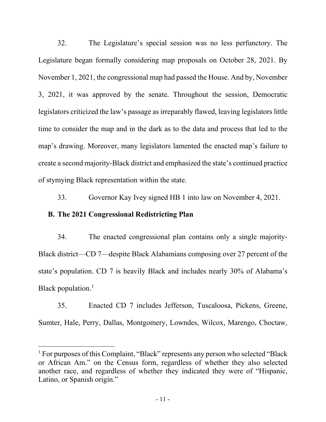32. The Legislature's special session was no less perfunctory. The Legislature began formally considering map proposals on October 28, 2021. By November 1, 2021, the congressional map had passed the House. And by, November 3, 2021, it was approved by the senate. Throughout the session, Democratic legislators criticized the law's passage as irreparably flawed, leaving legislators little time to consider the map and in the dark as to the data and process that led to the map's drawing. Moreover, many legislators lamented the enacted map's failure to create a second majority-Black district and emphasized the state's continued practice of stymying Black representation within the state.

33. Governor Kay Ivey signed HB 1 into law on November 4, 2021.

## **B. The 2021 Congressional Redistricting Plan**

34. The enacted congressional plan contains only a single majority-Black district—CD 7—despite Black Alabamians composing over 27 percent of the state's population. CD 7 is heavily Black and includes nearly 30% of Alabama's Black population. $<sup>1</sup>$  $<sup>1</sup>$  $<sup>1</sup>$ </sup>

35. Enacted CD 7 includes Jefferson, Tuscaloosa, Pickens, Greene, Sumter, Hale, Perry, Dallas, Montgomery, Lowndes, Wilcox, Marengo, Choctaw,

<span id="page-10-0"></span><sup>&</sup>lt;sup>1</sup> For purposes of this Complaint, "Black" represents any person who selected "Black" or African Am." on the Census form, regardless of whether they also selected another race, and regardless of whether they indicated they were of "Hispanic, Latino, or Spanish origin."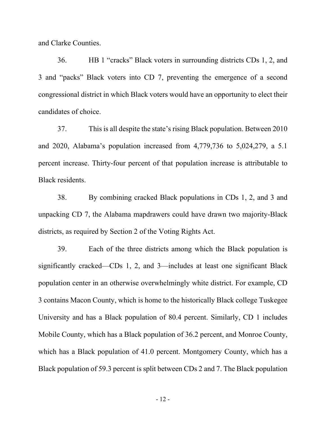and Clarke Counties.

36. HB 1 "cracks" Black voters in surrounding districts CDs 1, 2, and 3 and "packs" Black voters into CD 7, preventing the emergence of a second congressional district in which Black voters would have an opportunity to elect their candidates of choice.

37. This is all despite the state's rising Black population. Between 2010 and 2020, Alabama's population increased from 4,779,736 to 5,024,279, a 5.1 percent increase. Thirty-four percent of that population increase is attributable to Black residents.

38. By combining cracked Black populations in CDs 1, 2, and 3 and unpacking CD 7, the Alabama mapdrawers could have drawn two majority-Black districts, as required by Section 2 of the Voting Rights Act.

39. Each of the three districts among which the Black population is significantly cracked—CDs 1, 2, and 3—includes at least one significant Black population center in an otherwise overwhelmingly white district. For example, CD 3 contains Macon County, which is home to the historically Black college Tuskegee University and has a Black population of 80.4 percent. Similarly, CD 1 includes Mobile County, which has a Black population of 36.2 percent, and Monroe County, which has a Black population of 41.0 percent. Montgomery County, which has a Black population of 59.3 percent is split between CDs 2 and 7. The Black population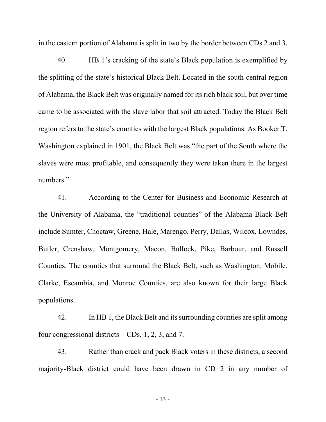in the eastern portion of Alabama is split in two by the border between CDs 2 and 3.

40. HB 1's cracking of the state's Black population is exemplified by the splitting of the state's historical Black Belt. Located in the south-central region of Alabama, the Black Belt was originally named for its rich black soil, but over time came to be associated with the slave labor that soil attracted. Today the Black Belt region refers to the state's counties with the largest Black populations. As Booker T. Washington explained in 1901, the Black Belt was "the part of the South where the slaves were most profitable, and consequently they were taken there in the largest numbers."

41. According to the Center for Business and Economic Research at the University of Alabama, the "traditional counties" of the Alabama Black Belt include Sumter, Choctaw, Greene, Hale, Marengo, Perry, Dallas, Wilcox, Lowndes, Butler, Crenshaw, Montgomery, Macon, Bullock, Pike, Barbour, and Russell Counties. The counties that surround the Black Belt, such as Washington, Mobile, Clarke, Escambia, and Monroe Counties, are also known for their large Black populations.

42. In HB 1, the Black Belt and its surrounding counties are split among four congressional districts—CDs, 1, 2, 3, and 7.

43. Rather than crack and pack Black voters in these districts, a second majority-Black district could have been drawn in CD 2 in any number of

- 13 -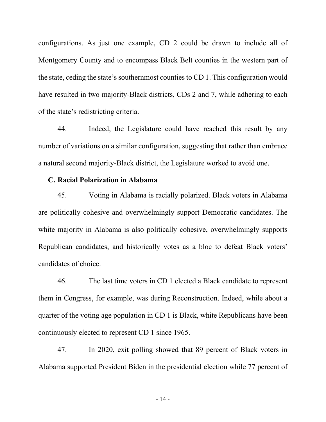configurations. As just one example, CD 2 could be drawn to include all of Montgomery County and to encompass Black Belt counties in the western part of the state, ceding the state's southernmost counties to CD 1. This configuration would have resulted in two majority-Black districts, CDs 2 and 7, while adhering to each of the state's redistricting criteria.

44. Indeed, the Legislature could have reached this result by any number of variations on a similar configuration, suggesting that rather than embrace a natural second majority-Black district, the Legislature worked to avoid one.

### **C. Racial Polarization in Alabama**

45. Voting in Alabama is racially polarized. Black voters in Alabama are politically cohesive and overwhelmingly support Democratic candidates. The white majority in Alabama is also politically cohesive, overwhelmingly supports Republican candidates, and historically votes as a bloc to defeat Black voters' candidates of choice.

46. The last time voters in CD 1 elected a Black candidate to represent them in Congress, for example, was during Reconstruction. Indeed, while about a quarter of the voting age population in CD 1 is Black, white Republicans have been continuously elected to represent CD 1 since 1965.

47. In 2020, exit polling showed that 89 percent of Black voters in Alabama supported President Biden in the presidential election while 77 percent of

- 14 -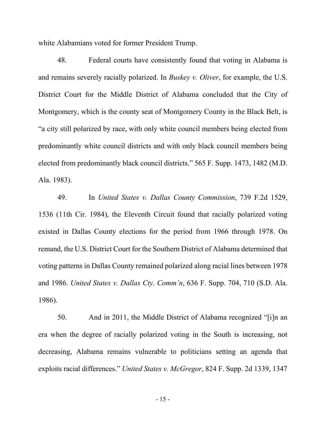white Alabamians voted for former President Trump.

48. Federal courts have consistently found that voting in Alabama is and remains severely racially polarized. In *Buskey v. Oliver*, for example, the U.S. District Court for the Middle District of Alabama concluded that the City of Montgomery, which is the county seat of Montgomery County in the Black Belt, is "a city still polarized by race, with only white council members being elected from predominantly white council districts and with only black council members being elected from predominantly black council districts." 565 F. Supp. 1473, 1482 (M.D. Ala. 1983).

49. In *United States v. Dallas County Commission*, 739 F.2d 1529, 1536 (11th Cir. 1984), the Eleventh Circuit found that racially polarized voting existed in Dallas County elections for the period from 1966 through 1978. On remand, the U.S. District Court for the Southern District of Alabama determined that voting patterns in Dallas County remained polarized along racial lines between 1978 and 1986. *United States v. Dallas Cty. Comm'n*, 636 F. Supp. 704, 710 (S.D. Ala. 1986).

50. And in 2011, the Middle District of Alabama recognized "[i]n an era when the degree of racially polarized voting in the South is increasing, not decreasing, Alabama remains vulnerable to politicians setting an agenda that exploits racial differences." *United States v. McGregor*, 824 F. Supp. 2d 1339, 1347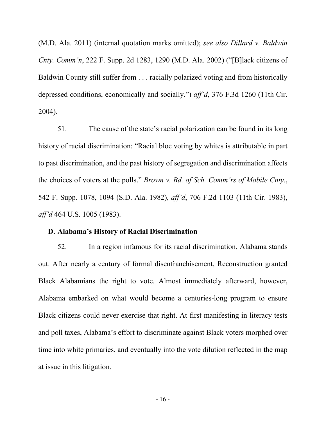(M.D. Ala. 2011) (internal quotation marks omitted); *see also Dillard v. Baldwin Cnty. Comm'n*, 222 F. Supp. 2d 1283, 1290 (M.D. Ala. 2002) ("[B]lack citizens of Baldwin County still suffer from . . . racially polarized voting and from historically depressed conditions, economically and socially.") *aff'd*, 376 F.3d 1260 (11th Cir. 2004).

51. The cause of the state's racial polarization can be found in its long history of racial discrimination: "Racial bloc voting by whites is attributable in part to past discrimination, and the past history of segregation and discrimination affects the choices of voters at the polls." *Brown v. Bd. of Sch. Comm'rs of Mobile Cnty.*, 542 F. Supp. 1078, 1094 (S.D. Ala. 1982), *aff'd*, 706 F.2d 1103 (11th Cir. 1983), *aff'd* 464 U.S. 1005 (1983).

### **D. Alabama's History of Racial Discrimination**

52. In a region infamous for its racial discrimination, Alabama stands out. After nearly a century of formal disenfranchisement, Reconstruction granted Black Alabamians the right to vote. Almost immediately afterward, however, Alabama embarked on what would become a centuries-long program to ensure Black citizens could never exercise that right. At first manifesting in literacy tests and poll taxes, Alabama's effort to discriminate against Black voters morphed over time into white primaries, and eventually into the vote dilution reflected in the map at issue in this litigation.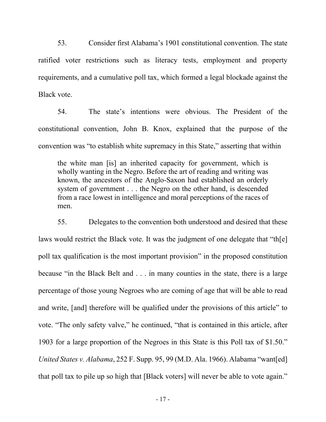53. Consider first Alabama's 1901 constitutional convention. The state ratified voter restrictions such as literacy tests, employment and property requirements, and a cumulative poll tax, which formed a legal blockade against the Black vote.

54. The state's intentions were obvious. The President of the constitutional convention, John B. Knox, explained that the purpose of the convention was "to establish white supremacy in this State," asserting that within

the white man [is] an inherited capacity for government, which is wholly wanting in the Negro. Before the art of reading and writing was known, the ancestors of the Anglo-Saxon had established an orderly system of government . . . the Negro on the other hand, is descended from a race lowest in intelligence and moral perceptions of the races of men.

55. Delegates to the convention both understood and desired that these laws would restrict the Black vote. It was the judgment of one delegate that "th[e] poll tax qualification is the most important provision" in the proposed constitution because "in the Black Belt and . . . in many counties in the state, there is a large percentage of those young Negroes who are coming of age that will be able to read and write, [and] therefore will be qualified under the provisions of this article" to vote. "The only safety valve," he continued, "that is contained in this article, after 1903 for a large proportion of the Negroes in this State is this Poll tax of \$1.50." *United States v. Alabama*, 252 F. Supp. 95, 99 (M.D. Ala. 1966). Alabama "want[ed] that poll tax to pile up so high that [Black voters] will never be able to vote again."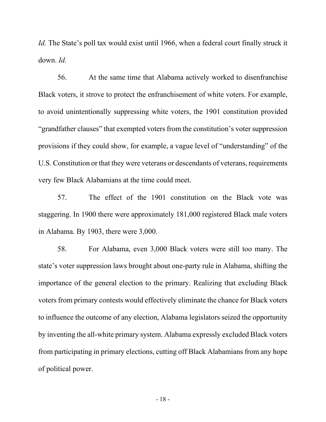*Id.* The State's poll tax would exist until 1966, when a federal court finally struck it down. *Id.* 

56. At the same time that Alabama actively worked to disenfranchise Black voters, it strove to protect the enfranchisement of white voters. For example, to avoid unintentionally suppressing white voters, the 1901 constitution provided "grandfather clauses" that exempted voters from the constitution's voter suppression provisions if they could show, for example, a vague level of "understanding" of the U.S. Constitution or that they were veterans or descendants of veterans, requirements very few Black Alabamians at the time could meet.

57. The effect of the 1901 constitution on the Black vote was staggering. In 1900 there were approximately 181,000 registered Black male voters in Alabama. By 1903, there were 3,000.

58. For Alabama, even 3,000 Black voters were still too many. The state's voter suppression laws brought about one-party rule in Alabama, shifting the importance of the general election to the primary. Realizing that excluding Black voters from primary contests would effectively eliminate the chance for Black voters to influence the outcome of any election, Alabama legislators seized the opportunity by inventing the all-white primary system. Alabama expressly excluded Black voters from participating in primary elections, cutting off Black Alabamians from any hope of political power.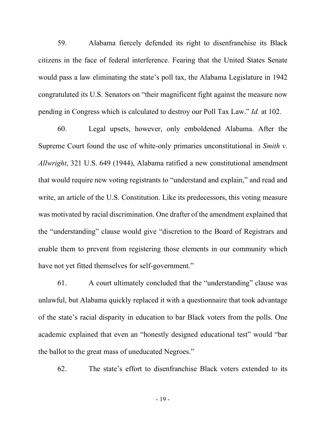59. Alabama fiercely defended its right to disenfranchise its Black citizens in the face of federal interference. Fearing that the United States Senate would pass a law eliminating the state's poll tax, the Alabama Legislature in 1942 congratulated its U.S. Senators on "their magnificent fight against the measure now pending in Congress which is calculated to destroy our Poll Tax Law." *Id.* at 102.

60. Legal upsets, however, only emboldened Alabama. After the Supreme Court found the use of white-only primaries unconstitutional in *Smith v. Allwright*, 321 U.S. 649 (1944), Alabama ratified a new constitutional amendment that would require new voting registrants to "understand and explain," and read and write, an article of the U.S. Constitution. Like its predecessors, this voting measure was motivated by racial discrimination. One drafter of the amendment explained that the "understanding" clause would give "discretion to the Board of Registrars and enable them to prevent from registering those elements in our community which have not yet fitted themselves for self-government."

61. A court ultimately concluded that the "understanding" clause was unlawful, but Alabama quickly replaced it with a questionnaire that took advantage of the state's racial disparity in education to bar Black voters from the polls. One academic explained that even an "honestly designed educational test" would "bar the ballot to the great mass of uneducated Negroes."

62. The state's effort to disenfranchise Black voters extended to its

- 19 -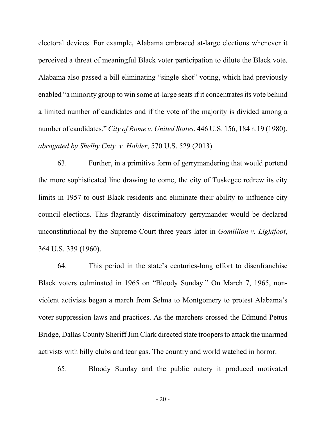electoral devices. For example, Alabama embraced at-large elections whenever it perceived a threat of meaningful Black voter participation to dilute the Black vote. Alabama also passed a bill eliminating "single-shot" voting, which had previously enabled "a minority group to win some at-large seats if it concentrates its vote behind a limited number of candidates and if the vote of the majority is divided among a number of candidates." *City of Rome v. United States*, 446 U.S. 156, 184 n.19 (1980), *abrogated by Shelby Cnty. v. Holder*, 570 U.S. 529 (2013).

63. Further, in a primitive form of gerrymandering that would portend the more sophisticated line drawing to come, the city of Tuskegee redrew its city limits in 1957 to oust Black residents and eliminate their ability to influence city council elections. This flagrantly discriminatory gerrymander would be declared unconstitutional by the Supreme Court three years later in *Gomillion v. Lightfoot*, 364 U.S. 339 (1960).

64. This period in the state's centuries-long effort to disenfranchise Black voters culminated in 1965 on "Bloody Sunday." On March 7, 1965, nonviolent activists began a march from Selma to Montgomery to protest Alabama's voter suppression laws and practices. As the marchers crossed the Edmund Pettus Bridge, Dallas County Sheriff Jim Clark directed state troopers to attack the unarmed activists with billy clubs and tear gas. The country and world watched in horror.

65. Bloody Sunday and the public outcry it produced motivated

 $-20-$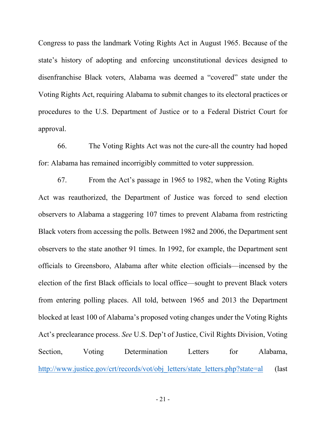Congress to pass the landmark Voting Rights Act in August 1965. Because of the state's history of adopting and enforcing unconstitutional devices designed to disenfranchise Black voters, Alabama was deemed a "covered" state under the Voting Rights Act, requiring Alabama to submit changes to its electoral practices or procedures to the U.S. Department of Justice or to a Federal District Court for approval.

66. The Voting Rights Act was not the cure-all the country had hoped for: Alabama has remained incorrigibly committed to voter suppression.

67. From the Act's passage in 1965 to 1982, when the Voting Rights Act was reauthorized, the Department of Justice was forced to send election observers to Alabama a staggering 107 times to prevent Alabama from restricting Black voters from accessing the polls. Between 1982 and 2006, the Department sent observers to the state another 91 times. In 1992, for example, the Department sent officials to Greensboro, Alabama after white election officials—incensed by the election of the first Black officials to local office—sought to prevent Black voters from entering polling places. All told, between 1965 and 2013 the Department blocked at least 100 of Alabama's proposed voting changes under the Voting Rights Act's preclearance process. *See* U.S. Dep't of Justice, Civil Rights Division, Voting Section, Voting Determination Letters for Alabama, [http://www.justice.gov/crt/records/vo](http://www.justice.gov/crt/records/vot/obj_letters/state_letters.php?state=al)t/obj\_letters/state\_letters.php?state=al (last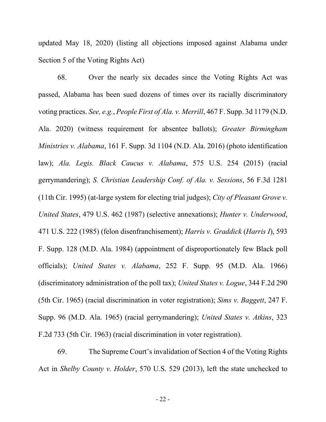updated May 18, 2020) (listing all objections imposed against Alabama under Section 5 of the Voting Rights Act)

68. Over the nearly six decades since the Voting Rights Act was passed, Alabama has been sued dozens of times over its racially discriminatory voting practices. *See, e.g.*, *People First of Ala. v. Merrill*, 467 F. Supp. 3d 1179 (N.D. Ala. 2020) (witness requirement for absentee ballots); *Greater Birmingham Ministries v. Alabama*, 161 F. Supp. 3d 1104 (N.D. Ala. 2016) (photo identification law); *Ala. Legis. Black Caucus v. Alabama*, 575 U.S. 254 (2015) (racial gerrymandering); *S. Christian Leadership Conf. of Ala. v. Sessions*, 56 F.3d 1281 (11th Cir. 1995) (at-large system for electing trial judges); *City of Pleasant Grove v. United States*, 479 U.S. 462 (1987) (selective annexations); *Hunter v. Underwood*, 471 U.S. 222 (1985) (felon disenfranchisement); *Harris v. Graddick* (*Harris I*), 593 F. Supp. 128 (M.D. Ala. 1984) (appointment of disproportionately few Black poll officials); *United States v. Alabama*, 252 F. Supp. 95 (M.D. Ala. 1966) (discriminatory administration of the poll tax); *United States v. Logue*, 344 F.2d 290 (5th Cir. 1965) (racial discrimination in voter registration); *Sims v. Baggett*, 247 F. Supp. 96 (M.D. Ala. 1965) (racial gerrymandering); *United States v. Atkins*, 323 F.2d 733 (5th Cir. 1963) (racial discrimination in voter registration).

69. The Supreme Court's invalidation of Section 4 of the Voting Rights Act in *Shelby County v. Holder*, 570 U.S. 529 (2013), left the state unchecked to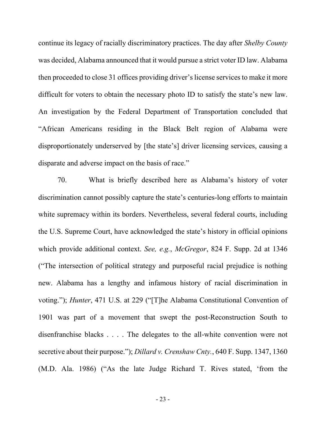continue its legacy of racially discriminatory practices. The day after *Shelby County*  was decided, Alabama announced that it would pursue a strict voter ID law. Alabama then proceeded to close 31 offices providing driver's license services to make it more difficult for voters to obtain the necessary photo ID to satisfy the state's new law. An investigation by the Federal Department of Transportation concluded that "African Americans residing in the Black Belt region of Alabama were disproportionately underserved by [the state's] driver licensing services, causing a disparate and adverse impact on the basis of race."

70. What is briefly described here as Alabama's history of voter discrimination cannot possibly capture the state's centuries-long efforts to maintain white supremacy within its borders. Nevertheless, several federal courts, including the U.S. Supreme Court, have acknowledged the state's history in official opinions which provide additional context. *See, e.g.*, *McGregor*, 824 F. Supp. 2d at 1346 ("The intersection of political strategy and purposeful racial prejudice is nothing new. Alabama has a lengthy and infamous history of racial discrimination in voting."); *Hunter*, 471 U.S. at 229 ("[T]he Alabama Constitutional Convention of 1901 was part of a movement that swept the post-Reconstruction South to disenfranchise blacks . . . . The delegates to the all-white convention were not secretive about their purpose."); *Dillard v. Crenshaw Cnty.*, 640 F. Supp. 1347, 1360 (M.D. Ala. 1986) ("As the late Judge Richard T. Rives stated, 'from the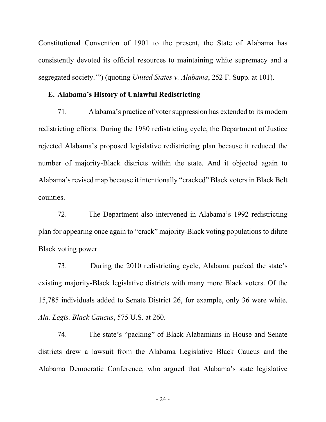Constitutional Convention of 1901 to the present, the State of Alabama has consistently devoted its official resources to maintaining white supremacy and a segregated society.'") (quoting *United States v. Alabama*, 252 F. Supp. at 101).

## **E. Alabama's History of Unlawful Redistricting**

71. Alabama's practice of voter suppression has extended to its modern redistricting efforts. During the 1980 redistricting cycle, the Department of Justice rejected Alabama's proposed legislative redistricting plan because it reduced the number of majority-Black districts within the state. And it objected again to Alabama's revised map because it intentionally "cracked" Black voters in Black Belt counties.

72. The Department also intervened in Alabama's 1992 redistricting plan for appearing once again to "crack" majority-Black voting populations to dilute Black voting power.

73. During the 2010 redistricting cycle, Alabama packed the state's existing majority-Black legislative districts with many more Black voters. Of the 15,785 individuals added to Senate District 26, for example, only 36 were white. *Ala. Legis. Black Caucus*, 575 U.S. at 260.

74. The state's "packing" of Black Alabamians in House and Senate districts drew a lawsuit from the Alabama Legislative Black Caucus and the Alabama Democratic Conference, who argued that Alabama's state legislative

- 24 -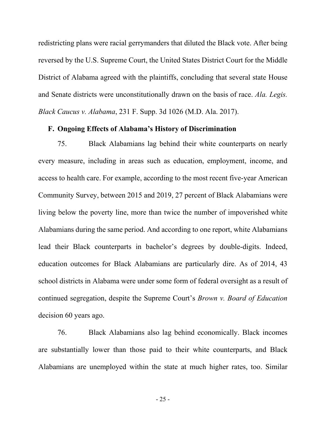redistricting plans were racial gerrymanders that diluted the Black vote. After being reversed by the U.S. Supreme Court, the United States District Court for the Middle District of Alabama agreed with the plaintiffs, concluding that several state House and Senate districts were unconstitutionally drawn on the basis of race. *Ala. Legis. Black Caucus v. Alabama*, 231 F. Supp. 3d 1026 (M.D. Ala. 2017).

#### **F. Ongoing Effects of Alabama's History of Discrimination**

75. Black Alabamians lag behind their white counterparts on nearly every measure, including in areas such as education, employment, income, and access to health care. For example, according to the most recent five-year American Community Survey, between 2015 and 2019, 27 percent of Black Alabamians were living below the poverty line, more than twice the number of impoverished white Alabamians during the same period. And according to one report, white Alabamians lead their Black counterparts in bachelor's degrees by double-digits. Indeed, education outcomes for Black Alabamians are particularly dire. As of 2014, 43 school districts in Alabama were under some form of federal oversight as a result of continued segregation, despite the Supreme Court's *Brown v. Board of Education*  decision 60 years ago.

76. Black Alabamians also lag behind economically. Black incomes are substantially lower than those paid to their white counterparts, and Black Alabamians are unemployed within the state at much higher rates, too. Similar

- 25 -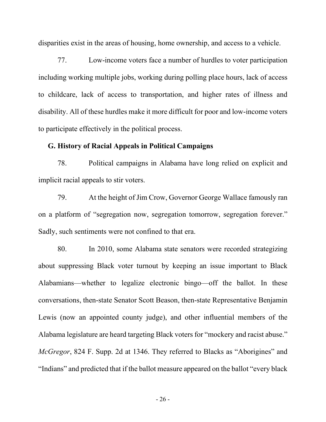disparities exist in the areas of housing, home ownership, and access to a vehicle.

77. Low-income voters face a number of hurdles to voter participation including working multiple jobs, working during polling place hours, lack of access to childcare, lack of access to transportation, and higher rates of illness and disability. All of these hurdles make it more difficult for poor and low-income voters to participate effectively in the political process.

# **G. History of Racial Appeals in Political Campaigns**

78. Political campaigns in Alabama have long relied on explicit and implicit racial appeals to stir voters.

79. At the height of Jim Crow, Governor George Wallace famously ran on a platform of "segregation now, segregation tomorrow, segregation forever." Sadly, such sentiments were not confined to that era.

80. In 2010, some Alabama state senators were recorded strategizing about suppressing Black voter turnout by keeping an issue important to Black Alabamians—whether to legalize electronic bingo—off the ballot. In these conversations, then-state Senator Scott Beason, then-state Representative Benjamin Lewis (now an appointed county judge), and other influential members of the Alabama legislature are heard targeting Black voters for "mockery and racist abuse." *McGregor*, 824 F. Supp. 2d at 1346. They referred to Blacks as "Aborigines" and "Indians" and predicted that if the ballot measure appeared on the ballot "every black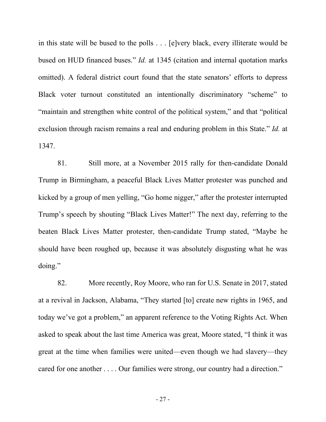in this state will be bused to the polls . . . [e]very black, every illiterate would be bused on HUD financed buses." *Id.* at 1345 (citation and internal quotation marks omitted). A federal district court found that the state senators' efforts to depress Black voter turnout constituted an intentionally discriminatory "scheme" to "maintain and strengthen white control of the political system," and that "political exclusion through racism remains a real and enduring problem in this State." *Id.* at 1347.

81. Still more, at a November 2015 rally for then-candidate Donald Trump in Birmingham, a peaceful Black Lives Matter protester was punched and kicked by a group of men yelling, "Go home nigger," after the protester interrupted Trump's speech by shouting "Black Lives Matter!" The next day, referring to the beaten Black Lives Matter protester, then-candidate Trump stated, "Maybe he should have been roughed up, because it was absolutely disgusting what he was doing."

82. More recently, Roy Moore, who ran for U.S. Senate in 2017, stated at a revival in Jackson, Alabama, "They started [to] create new rights in 1965, and today we've got a problem," an apparent reference to the Voting Rights Act. When asked to speak about the last time America was great, Moore stated, "I think it was great at the time when families were united—even though we had slavery—they cared for one another . . . . Our families were strong, our country had a direction."

- 27 -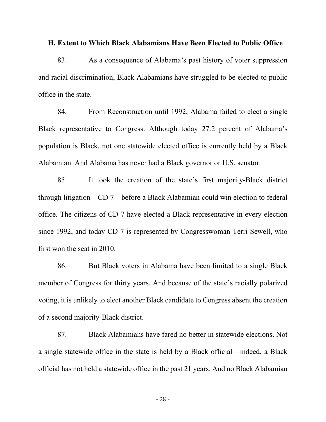#### **H. Extent to Which Black Alabamians Have Been Elected to Public Office**

83. As a consequence of Alabama's past history of voter suppression and racial discrimination, Black Alabamians have struggled to be elected to public office in the state.

84. From Reconstruction until 1992, Alabama failed to elect a single Black representative to Congress. Although today 27.2 percent of Alabama's population is Black, not one statewide elected office is currently held by a Black Alabamian. And Alabama has never had a Black governor or U.S. senator.

85. It took the creation of the state's first majority-Black district through litigation—CD 7—before a Black Alabamian could win election to federal office. The citizens of CD 7 have elected a Black representative in every election since 1992, and today CD 7 is represented by Congresswoman Terri Sewell, who first won the seat in 2010.

86. But Black voters in Alabama have been limited to a single Black member of Congress for thirty years. And because of the state's racially polarized voting, it is unlikely to elect another Black candidate to Congress absent the creation of a second majority-Black district.

87. Black Alabamians have fared no better in statewide elections. Not a single statewide office in the state is held by a Black official—indeed, a Black official has not held a statewide office in the past 21 years. And no Black Alabamian

- 28 -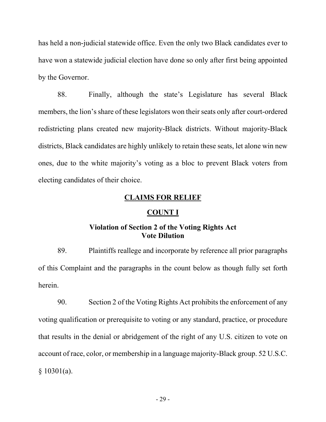has held a non-judicial statewide office. Even the only two Black candidates ever to have won a statewide judicial election have done so only after first being appointed by the Governor.

88. Finally, although the state's Legislature has several Black members, the lion's share of these legislators won their seats only after court-ordered redistricting plans created new majority-Black districts. Without majority-Black districts, Black candidates are highly unlikely to retain these seats, let alone win new ones, due to the white majority's voting as a bloc to prevent Black voters from electing candidates of their choice.

## **CLAIMS FOR RELIEF**

## **COUNT I**

# **Violation of Section 2 of the Voting Rights Act Vote Dilution**

89. Plaintiffs reallege and incorporate by reference all prior paragraphs of this Complaint and the paragraphs in the count below as though fully set forth herein.

90. Section 2 of the Voting Rights Act prohibits the enforcement of any voting qualification or prerequisite to voting or any standard, practice, or procedure that results in the denial or abridgement of the right of any U.S. citizen to vote on account of race, color, or membership in a language majority-Black group. 52 U.S.C. § 10301(a).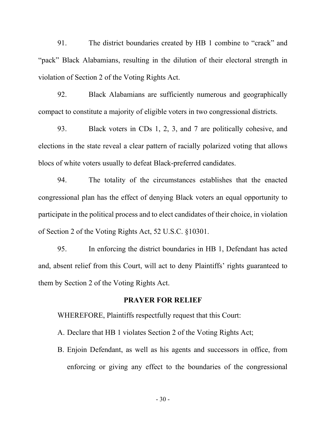91. The district boundaries created by HB 1 combine to "crack" and "pack" Black Alabamians, resulting in the dilution of their electoral strength in violation of Section 2 of the Voting Rights Act.

92. Black Alabamians are sufficiently numerous and geographically compact to constitute a majority of eligible voters in two congressional districts.

93. Black voters in CDs 1, 2, 3, and 7 are politically cohesive, and elections in the state reveal a clear pattern of racially polarized voting that allows blocs of white voters usually to defeat Black-preferred candidates.

94. The totality of the circumstances establishes that the enacted congressional plan has the effect of denying Black voters an equal opportunity to participate in the political process and to elect candidates of their choice, in violation of Section 2 of the Voting Rights Act, 52 U.S.C. §10301.

95. In enforcing the district boundaries in HB 1, Defendant has acted and, absent relief from this Court, will act to deny Plaintiffs' rights guaranteed to them by Section 2 of the Voting Rights Act.

#### **PRAYER FOR RELIEF**

WHEREFORE, Plaintiffs respectfully request that this Court:

A. Declare that HB 1 violates Section 2 of the Voting Rights Act;

B. Enjoin Defendant, as well as his agents and successors in office, from enforcing or giving any effect to the boundaries of the congressional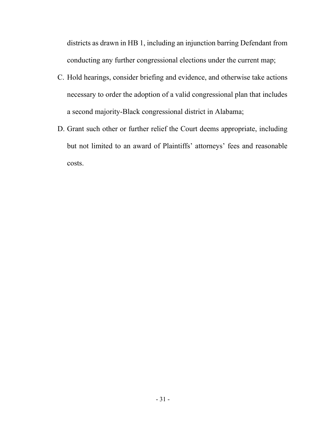districts as drawn in HB 1, including an injunction barring Defendant from conducting any further congressional elections under the current map;

- C. Hold hearings, consider briefing and evidence, and otherwise take actions necessary to order the adoption of a valid congressional plan that includes a second majority-Black congressional district in Alabama;
- D. Grant such other or further relief the Court deems appropriate, including but not limited to an award of Plaintiffs' attorneys' fees and reasonable costs.